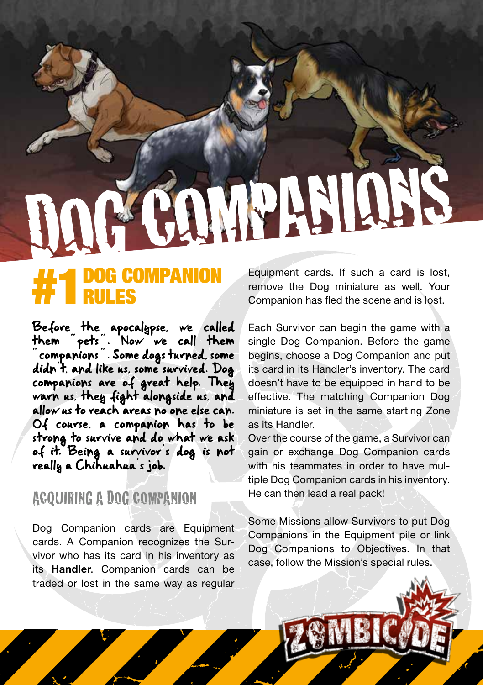# DOG COMPANI

# **#1** DOG COMPANION RULES

Before the apocalypse, we called them spets . Now we call them " companions " . Some dogs turned, some didn't, and like us, some survived. Dog companions are of great help. They warn us, they fight alongside us, and allow us to reach areas no one else can. Of course, a companion has to be strong to survive and do what we ask of it. Being a survivor's dog is not really a Chihuahua's job.

## ACQUIRING A DOG COMPANION

Dog Companion cards are Equipment cards. A Companion recognizes the Survivor who has its card in his inventory as its Handler. Companion cards can be traded or lost in the same way as regular

Equipment cards. If such a card is lost, remove the Dog miniature as well. Your Companion has fled the scene and is lost.

Each Survivor can begin the game with a single Dog Companion. Before the game begins, choose a Dog Companion and put its card in its Handler's inventory. The card doesn't have to be equipped in hand to be effective. The matching Companion Dog miniature is set in the same starting Zone as its Handler.

Over the course of the game, a Survivor can gain or exchange Dog Companion cards with his teammates in order to have multiple Dog Companion cards in his inventory. He can then lead a real pack!

Some Missions allow Survivors to put Dog Companions in the Equipment pile or link Dog Companions to Objectives. In that case, follow the Mission's special rules.